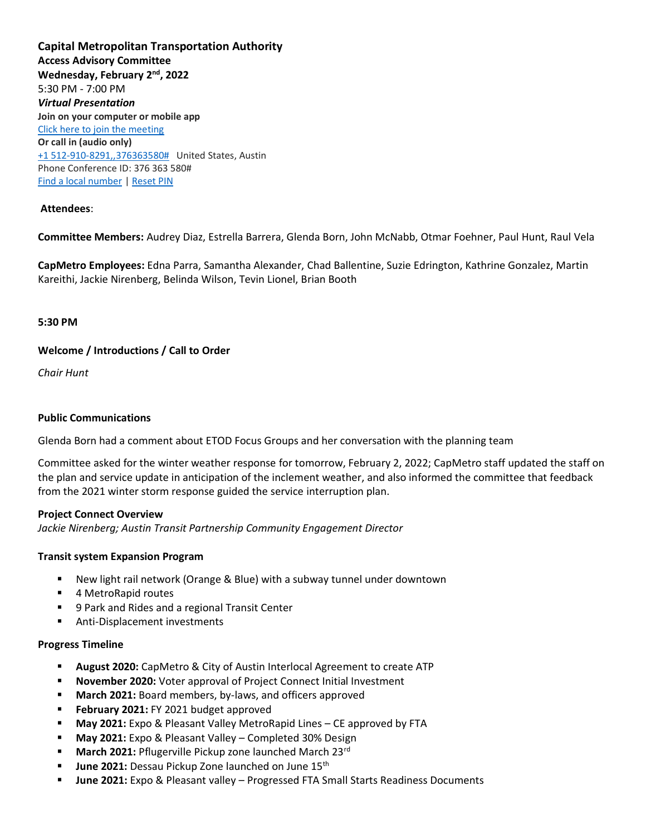**Capital Metropolitan Transportation Authority Access Advisory Committee Wednesday, February 2nd, 2022** 5:30 PM - 7:00 PM *Virtual Presentation* **Join on your computer or mobile app** [Click here to join the meeting](https://teams.microsoft.com/l/meetup-join/19%3ameeting_ODY3N2E5NzEtMmEwMi00MjNhLWEyN2EtOWQwNGY2OGQ4ZTM3%40thread.v2/0?context=%7b%22Tid%22%3a%2226cb04c7-a715-46bf-8650-15f4bed13bbb%22%2c%22Oid%22%3a%226da127cc-d372-4aa6-a399-e6e8447b9f8e%22%7d)  **Or call in (audio only)** [+1 512-910-8291,,376363580#](tel:+15129108291,,376363580) United States, Austin Phone Conference ID: 376 363 580# [Find a local number](https://dialin.teams.microsoft.com/d1e70d38-e707-4311-8ea0-af9da6f6cd4b?id=376363580) | [Reset PIN](https://mysettings.lync.com/pstnconferencing)

### **Attendees**:

**Committee Members:** Audrey Diaz, Estrella Barrera, Glenda Born, John McNabb, Otmar Foehner, Paul Hunt, Raul Vela

**CapMetro Employees:** Edna Parra, Samantha Alexander, Chad Ballentine, Suzie Edrington, Kathrine Gonzalez, Martin Kareithi, Jackie Nirenberg, Belinda Wilson, Tevin Lionel, Brian Booth

#### **5:30 PM**

### **Welcome / Introductions / Call to Order**

*Chair Hunt*

#### **Public Communications**

Glenda Born had a comment about ETOD Focus Groups and her conversation with the planning team

Committee asked for the winter weather response for tomorrow, February 2, 2022; CapMetro staff updated the staff on the plan and service update in anticipation of the inclement weather, and also informed the committee that feedback from the 2021 winter storm response guided the service interruption plan.

#### **Project Connect Overview**

*Jackie Nirenberg; Austin Transit Partnership Community Engagement Director*

#### **Transit system Expansion Program**

- New light rail network (Orange & Blue) with a subway tunnel under downtown
- 4 MetroRapid routes
- 9 Park and Rides and a regional Transit Center
- Anti-Displacement investments

# **Progress Timeline**

- **August 2020:** CapMetro & City of Austin Interlocal Agreement to create ATP
- **November 2020:** Voter approval of Project Connect Initial Investment
- March 2021: Board members, by-laws, and officers approved
- **February 2021:** FY 2021 budget approved
- May 2021: Expo & Pleasant Valley MetroRapid Lines CE approved by FTA
- **May 2021:** Expo & Pleasant Valley Completed 30% Design
- March 2021: Pflugerville Pickup zone launched March 23rd
- June 2021: Dessau Pickup Zone launched on June 15<sup>th</sup>
- June 2021: Expo & Pleasant valley Progressed FTA Small Starts Readiness Documents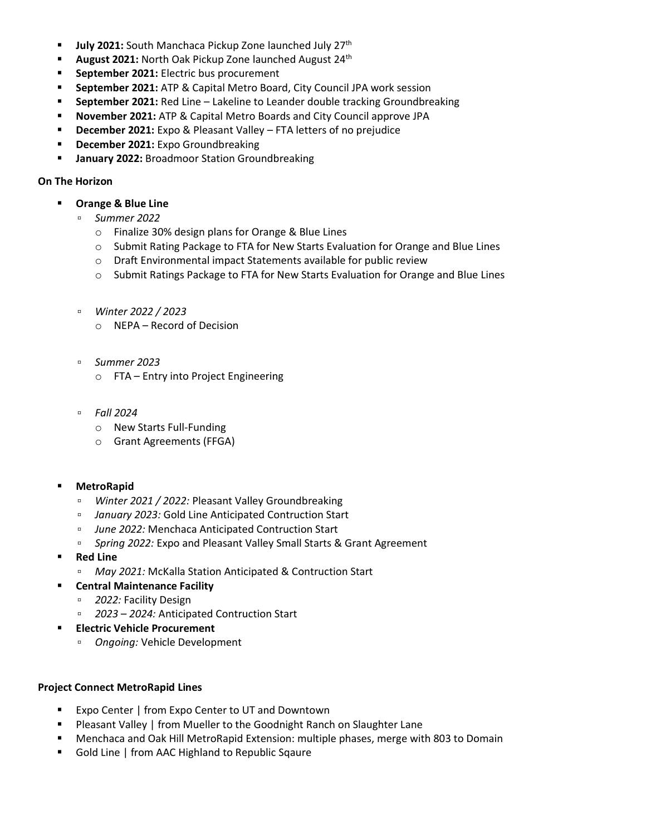- **July 2021:** South Manchaca Pickup Zone launched July 27<sup>th</sup>
- **August 2021:** North Oak Pickup Zone launched August 24<sup>th</sup>
- **EXECTE:** September 2021: Electric bus procurement
- **September 2021:** ATP & Capital Metro Board, City Council JPA work session
- **EXECTE 1021: Red Line Lakeline to Leander double tracking Groundbreaking**
- **November 2021:** ATP & Capital Metro Boards and City Council approve JPA
- **December 2021:** Expo & Pleasant Valley FTA letters of no prejudice
- **December 2021:** Expo Groundbreaking
- **January 2022:** Broadmoor Station Groundbreaking

## **On The Horizon**

- **Orange & Blue Line**
	- *Summer 2022*
		- o Finalize 30% design plans for Orange & Blue Lines
		- o Submit Rating Package to FTA for New Starts Evaluation for Orange and Blue Lines
		- o Draft Environmental impact Statements available for public review
		- o Submit Ratings Package to FTA for New Starts Evaluation for Orange and Blue Lines
	- *Winter 2022 / 2023*
		- o NEPA Record of Decision
	- *Summer 2023*
		- o FTA Entry into Project Engineering
	- *Fall 2024*
		- o New Starts Full-Funding
		- o Grant Agreements (FFGA)
- **MetroRapid** 
	- *Winter 2021 / 2022:* Pleasant Valley Groundbreaking
	- *January 2023:* Gold Line Anticipated Contruction Start
	- *June 2022:* Menchaca Anticipated Contruction Start
	- *Spring 2022:* Expo and Pleasant Valley Small Starts & Grant Agreement
- **Red Line**
	- *May 2021:* McKalla Station Anticipated & Contruction Start
- **Central Maintenance Facility**
	- *2022:* Facility Design
	- *2023 – 2024:* Anticipated Contruction Start
- **Electric Vehicle Procurement** 
	- *Ongoing:* Vehicle Development

### **Project Connect MetroRapid Lines**

- Expo Center | from Expo Center to UT and Downtown
- Pleasant Valley | from Mueller to the Goodnight Ranch on Slaughter Lane
- Menchaca and Oak Hill MetroRapid Extension: multiple phases, merge with 803 to Domain
- Gold Line | from AAC Highland to Republic Sqaure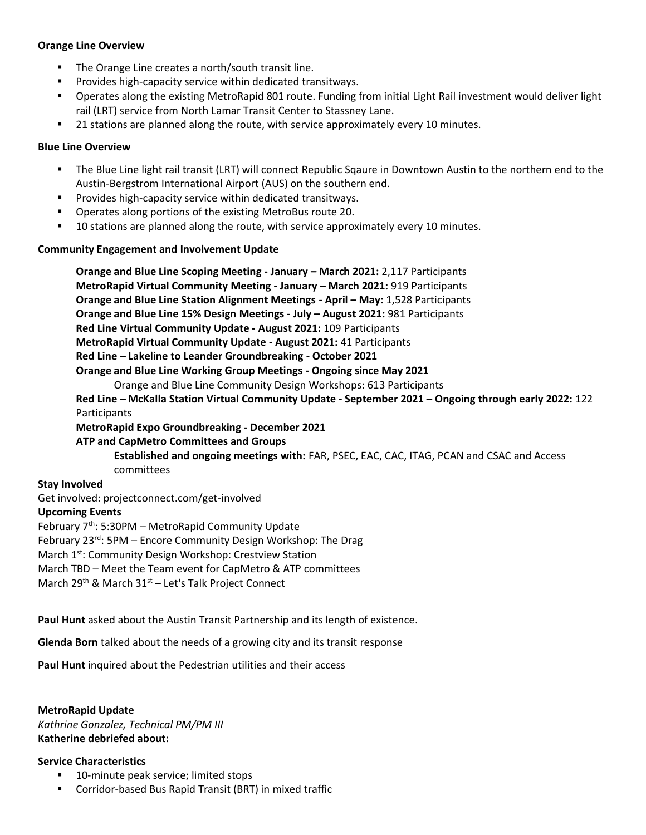### **Orange Line Overview**

- The Orange Line creates a north/south transit line.
- Provides high-capacity service within dedicated transitways.
- Operates along the existing MetroRapid 801 route. Funding from initial Light Rail investment would deliver light rail (LRT) service from North Lamar Transit Center to Stassney Lane.
- 21 stations are planned along the route, with service approximately every 10 minutes.

### **Blue Line Overview**

- The Blue Line light rail transit (LRT) will connect Republic Sqaure in Downtown Austin to the northern end to the Austin-Bergstrom International Airport (AUS) on the southern end.
- Provides high-capacity service within dedicated transitways.
- Operates along portions of the existing MetroBus route 20.
- 10 stations are planned along the route, with service approximately every 10 minutes.

### **Community Engagement and Involvement Update**

**Orange and Blue Line Scoping Meeting - January – March 2021:** 2,117 Participants **MetroRapid Virtual Community Meeting - January – March 2021:** 919 Participants **Orange and Blue Line Station Alignment Meetings - April – May:** 1,528 Participants **Orange and Blue Line 15% Design Meetings - July – August 2021:** 981 Participants **Red Line Virtual Community Update - August 2021:** 109 Participants **MetroRapid Virtual Community Update - August 2021:** 41 Participants **Red Line – Lakeline to Leander Groundbreaking - October 2021 Orange and Blue Line Working Group Meetings - Ongoing since May 2021** Orange and Blue Line Community Design Workshops: 613 Participants **Red Line – McKalla Station Virtual Community Update - September 2021 – Ongoing through early 2022:** 122 Participants **MetroRapid Expo Groundbreaking - December 2021 ATP and CapMetro Committees and Groups Established and ongoing meetings with:** FAR, PSEC, EAC, CAC, ITAG, PCAN and CSAC and Access

committees

#### **Stay Involved**

Get involved: projectconnect.com/get-involved

# **Upcoming Events**

February 7th: 5:30PM – MetroRapid Community Update

February 23<sup>rd</sup>: 5PM – Encore Community Design Workshop: The Drag

March 1st: Community Design Workshop: Crestview Station

March TBD – Meet the Team event for CapMetro & ATP committees

March 29<sup>th</sup> & March 31<sup>st</sup> – Let's Talk Project Connect

**Paul Hunt** asked about the Austin Transit Partnership and its length of existence.

**Glenda Born** talked about the needs of a growing city and its transit response

**Paul Hunt** inquired about the Pedestrian utilities and their access

**MetroRapid Update** *Kathrine Gonzalez, Technical PM/PM III* **Katherine debriefed about:** 

#### **Service Characteristics**

- 10-minute peak service; limited stops
- Corridor-based Bus Rapid Transit (BRT) in mixed traffic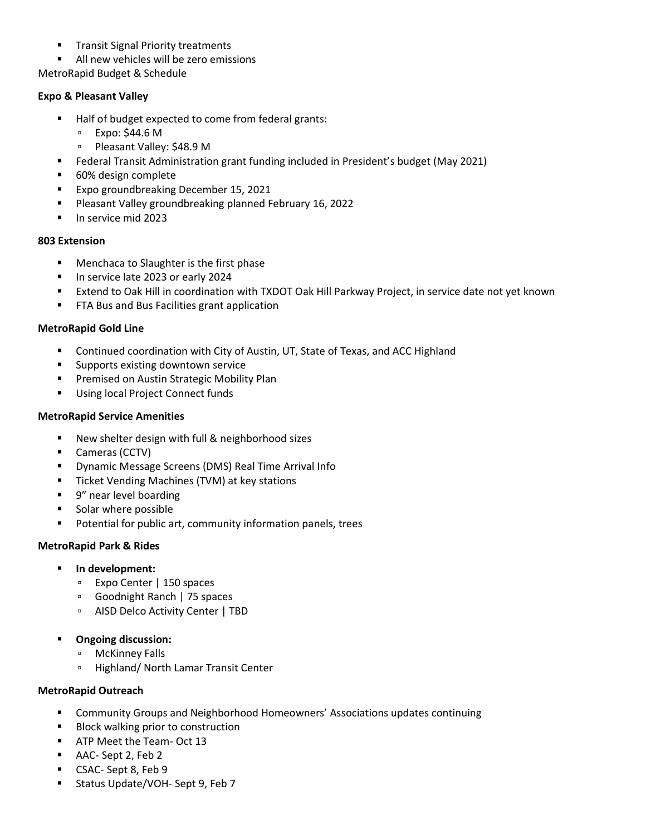- **Transit Signal Priority treatments**
- All new vehicles will be zero emissions

MetroRapid Budget & Schedule

## **Expo & Pleasant Valley**

- Half of budget expected to come from federal grants:
	- Expo: \$44.6 M
	- Pleasant Valley: \$48.9 M
- Federal Transit Administration grant funding included in President's budget (May 2021)
- 60% design complete
- Expo groundbreaking December 15, 2021
- Pleasant Valley groundbreaking planned February 16, 2022
- In service mid 2023

### **803 Extension**

- Menchaca to Slaughter is the first phase
- In service late 2023 or early 2024
- **Extend to Oak Hill in coordination with TXDOT Oak Hill Parkway Project, in service date not yet known**
- FTA Bus and Bus Facilities grant application

## **MetroRapid Gold Line**

- Continued coordination with City of Austin, UT, State of Texas, and ACC Highland
- Supports existing downtown service
- **Premised on Austin Strategic Mobility Plan**
- Using local Project Connect funds

## **MetroRapid Service Amenities**

- New shelter design with full & neighborhood sizes
- Cameras (CCTV)
- Dynamic Message Screens (DMS) Real Time Arrival Info
- Ticket Vending Machines (TVM) at key stations
- 9" near level boarding
- Solar where possible
- Potential for public art, community information panels, trees

# **MetroRapid Park & Rides**

- **In development:** 
	- Expo Center | 150 spaces
	- Goodnight Ranch | 75 spaces
	- AISD Delco Activity Center | TBD
- **Ongoing discussion:** 
	- McKinney Falls
	- Highland/ North Lamar Transit Center

### **MetroRapid Outreach**

- **E** Community Groups and Neighborhood Homeowners' Associations updates continuing
- Block walking prior to construction
- **EXERG** ATP Meet the Team- Oct 13
- AAC- Sept 2, Feb 2
- CSAC- Sept 8, Feb 9
- Status Update/VOH- Sept 9, Feb 7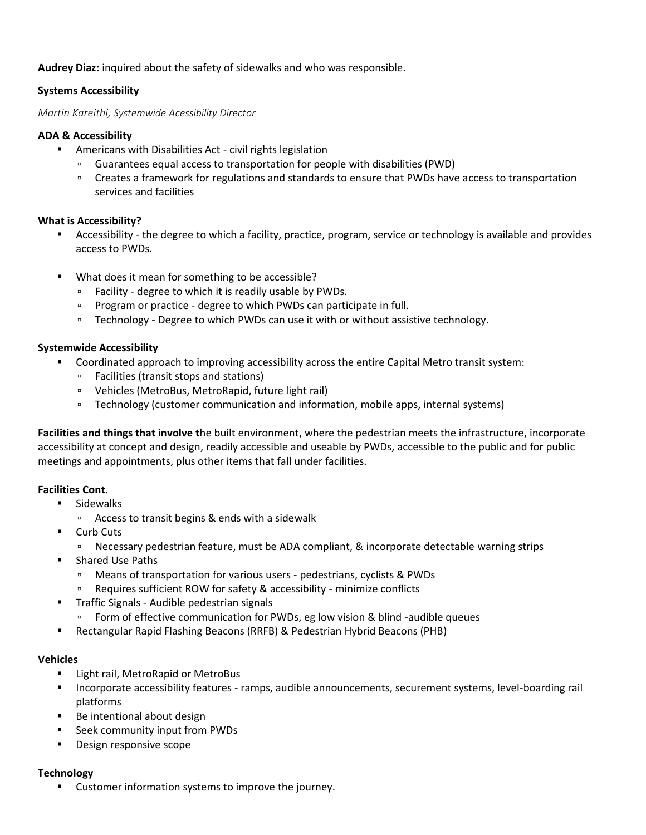## **Audrey Diaz:** inquired about the safety of sidewalks and who was responsible.

## **Systems Accessibility**

*Martin Kareithi, Systemwide Acessibility Director*

### **ADA & Accessibility**

- Americans with Disabilities Act civil rights legislation
	- Guarantees equal access to transportation for people with disabilities (PWD)
	- Creates a framework for regulations and standards to ensure that PWDs have access to transportation services and facilities

### **What is Accessibility?**

- Accessibility the degree to which a facility, practice, program, service or technology is available and provides access to PWDs.
- What does it mean for something to be accessible?
	- Facility degree to which it is readily usable by PWDs.
	- Program or practice degree to which PWDs can participate in full.
	- Technology Degree to which PWDs can use it with or without assistive technology.

## **Systemwide Accessibility**

- Coordinated approach to improving accessibility across the entire Capital Metro transit system:
	- Facilities (transit stops and stations)
	- Vehicles (MetroBus, MetroRapid, future light rail)
	- Technology (customer communication and information, mobile apps, internal systems)

**Facilities and things that involve t**he built environment, where the pedestrian meets the infrastructure, incorporate accessibility at concept and design, readily accessible and useable by PWDs, accessible to the public and for public meetings and appointments, plus other items that fall under facilities.

### **Facilities Cont.**

- Sidewalks
	- Access to transit begins & ends with a sidewalk
- Curb Cuts
	- Necessary pedestrian feature, must be ADA compliant, & incorporate detectable warning strips
- Shared Use Paths
	- Means of transportation for various users pedestrians, cyclists & PWDs
	- Requires sufficient ROW for safety & accessibility minimize conflicts
- Traffic Signals Audible pedestrian signals
	- Form of effective communication for PWDs, eg low vision & blind -audible queues
- Rectangular Rapid Flashing Beacons (RRFB) & Pedestrian Hybrid Beacons (PHB)

### **Vehicles**

- Light rail, MetroRapid or MetroBus
- Incorporate accessibility features ramps, audible announcements, securement systems, level-boarding rail platforms
- Be intentional about design
- Seek community input from PWDs
- Design responsive scope

### **Technology**

■ Customer information systems to improve the journey.